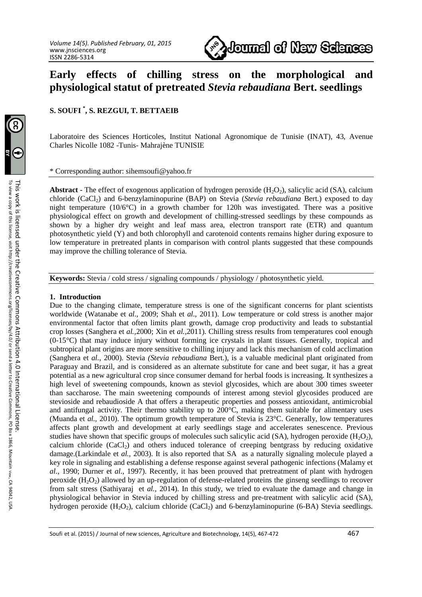

# **Early effects of chilling stress on the morphological and physiological statut of pretreated** *Stevia rebaudiana* **Bert. seedlings**

## **S. SOUFI \* , S. REZGUI, T. BETTAEIB**

Laboratoire des Sciences Horticoles, Institut National Agronomique de Tunisie (INAT), 43, Avenue Charles Nicolle 1082 -Tunis- Mahrajène TUNISIE

#### \* Corresponding author: sihemsoufi@yahoo.fr

**Abstract - The effect of exogenous application of hydrogen peroxide (H<sub>2</sub>O<sub>2</sub>), salicylic acid (SA), calcium** chloride (CaCl2) and 6-benzylaminopurine (BAP) on Stevia (*Stevia rebaudiana* Bert.) exposed to day night temperature (10/6 $^{\circ}$ C) in a growth chamber for 120h was investigated. There was a positive physiological effect on growth and development of chilling-stressed seedlings by these compounds as shown by a higher dry weight and leaf mass area, electron transport rate (ETR) and quantum photosynthetic yield (Y) and both chlorophyll and carotenoid contents remains higher during exposure to low temperature in pretreated plants in comparison with control plants suggested that these compounds may improve the chilling tolerance of Stevia.

**Keywords:** Stevia / cold stress / signaling compounds / physiology / photosynthetic yield.

#### **1. Introduction**

Due to the changing climate, temperature stress is one of the significant concerns for plant scientists worldwide (Watanabe et *al*., 2009; Shah et *al*., 2011). Low temperature or cold stress is another major environmental factor that often limits plant growth, damage crop productivity and leads to substantial crop losses (Sanghera et *al.,*2000; Xin et *al.,*2011). Chilling stress results from temperatures cool enough (0-15°C) that may induce injury without forming ice crystals in plant tissues. Generally, tropical and subtropical plant origins are more sensitive to chilling injury and lack this mechanism of cold acclimation (Sanghera et *al.,* 2000). Stevia *(Stevia rebaudiana* Bert.), is a valuable medicinal plant originated from Paraguay and Brazil, and is considered as an alternate substitute for cane and beet sugar, it has a great potential as a new agricultural crop since consumer demand for herbal foods is increasing. It synthesizes a high level of sweetening compounds, known as steviol glycosides, which are about 300 times sweeter than saccharose. The main sweetening compounds of interest among steviol glycosides produced are stevioside and rebaudioside A that offers a therapeutic properties and possess antioxidant, antimicrobial and antifungal activity. Their thermo stability up to  $200^{\circ}$ C, making them suitable for alimentary uses (Muanda et *al.,* 2010). The optimum growth temperature of Stevia is 23°C. Generally, low temperatures affects plant growth and development at early seedlings stage and accelerates senescence. Previous studies have shown that specific groups of molecules such salicylic acid (SA), hydrogen peroxide ( $H_2O_2$ ), calcium chloride  $(CaCl<sub>2</sub>)$  and others induced tolerance of creeping bentgrass by reducing oxidative damage.(Larkindale et *al.,* 2003). It is also reported that SA as a naturally signaling molecule played a key role in signaling and establishing a defense response against several pathogenic infections (Malamy et *al*., 1990; Durner et *al*., 1997). Recently, it has been prouved that pretreatment of plant with hydrogen peroxide  $(H<sub>2</sub>O<sub>2</sub>)$  allowed by an up-regulation of defense-related proteins the ginseng seedlings to recover from salt stress (Sathiyaraj et *al.,* 2014). In this study, we tried to evaluate the damage and change in physiological behavior in Stevia induced by chilling stress and pre-treatment with salicylic acid (SA), hydrogen peroxide  $(H_2O_2)$ , calcium chloride  $(CaCl_2)$  and 6-benzylaminopurine (6-BA) Stevia seedlings.

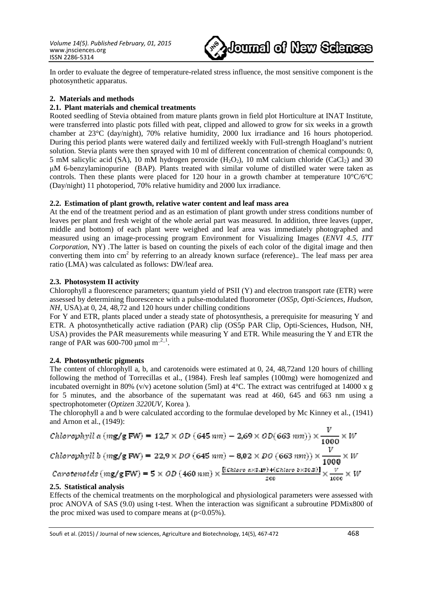*Volume 14(5). Published February, 01, 2015*  www.jnsciences.org ISSN 2286-5314



In order to evaluate the degree of temperature-related stress influence, the most sensitive component is the photosynthetic apparatus.

## **2. Materials and methods**

### **2.1. Plant materials and chemical treatments**

Rooted seedling of Stevia obtained from mature plants grown in field plot Horticulture at INAT Institute, were transferred into plastic pots filled with peat, clipped and allowed to grow for six weeks in a growth chamber at 23°C (day/night), 70% relative humidity, 2000 lux irradiance and 16 hours photoperiod. During this period plants were watered daily and fertilized weekly with Full-strength Hoagland's nutrient solution. Stevia plants were then sprayed with 10 ml of different concentration of chemical compounds: 0, 5 mM salicylic acid (SA), 10 mM hydrogen peroxide  $(H<sub>2</sub>O<sub>2</sub>)$ , 10 mM calcium chloride (CaCl<sub>2</sub>) and 30 µM 6-benzylaminopurine (BAP). Plants treated with similar volume of distilled water were taken as controls. Then these plants were placed for 120 hour in a growth chamber at temperature  $10^{\circ}C/6^{\circ}C$ (Day/night) 11 photoperiod, 70% relative humidity and 2000 lux irradiance.

## **2.2. Estimation of plant growth, relative water content and leaf mass area**

At the end of the treatment period and as an estimation of plant growth under stress conditions number of leaves per plant and fresh weight of the whole aerial part was measured. In addition, three leaves (upper, middle and bottom) of each plant were weighed and leaf area was immediately photographed and measured using an image-processing program Environment for Visualizing Images (*ENVI 4.5, ITT Corporation,* NY) .The latter is based on counting the pixels of each color of the digital image and then converting them into  $cm<sup>2</sup>$  by referring to an already known surface (reference).. The leaf mass per area ratio (LMA) was calculated as follows: DW/leaf area.

## **2.3. Photosystem II activity**

Chlorophyll a fluorescence parameters; quantum yield of PSII (Y) and electron transport rate (ETR) were assessed by determining fluorescence with a pulse-modulated fluorometer (*OS5p, Opti-Sciences, Hudson, NH,* USA).at 0, 24, 48,72 and 120 hours under chilling conditions

For Y and ETR, plants placed under a steady state of photosynthesis, a prerequisite for measuring Y and ETR. A photosynthetically active radiation (PAR) clip (OS5p PAR Clip, Opti-Sciences, Hudson, NH, USA) provides the PAR measurements while measuring Y and ETR. While measuring the Y and ETR the range of PAR was 600-700  $\mu$ mol m<sup>-2-1</sup>.

### **2.4. Photosynthetic pigments**

The content of chlorophyll a, b, and carotenoids were estimated at 0, 24, 48,72and 120 hours of chilling following the method of Torrecillas et al., (1984). Fresh leaf samples (100mg) were homogenized and incubated overnight in 80% (v/v) acetone solution (5ml) at 4°C. The extract was centrifuged at 14000 x g for 5 minutes, and the absorbance of the supernatant was read at 460, 645 and 663 nm using a spectrophotometer (*Optizen 3220UV*, Korea ).

The chlorophyll a and b were calculated according to the formulae developed by Mc Kinney et al., (1941) and Arnon et al., (1949):

Chlorophyll a (mg/g FW) = 12,7 × OD (645 nm) – 2,69 × OD(663 nm)) × 
$$
\frac{V}{1000}
$$
 × W  
\nChlorophyll b (mg/g FW) = 22,9 × DO (645 nm) – 8,02 × DO (663 nm)) ×  $\frac{V}{1000}$  × W  
\nCarotenoids (mg/g FW) = 5 × OD (460 nm) ×  $\frac{[(Chloro a \times 3,19)+(Chloro b \times 30,8)]}{200}$  ×  $\frac{V}{1000}$  × W

### **2.5. Statistical analysis**

Effects of the chemical treatments on the morphological and physiological parameters were assessed with proc ANOVA of SAS (9.0) using t-test. When the interaction was significant a subroutine PDMix800 of the proc mixed was used to compare means at  $(p<0.05\%)$ .

Soufi et al. (2015) / Journal of new sciences, Agriculture and Biotechnology, 14(5), 467-472 468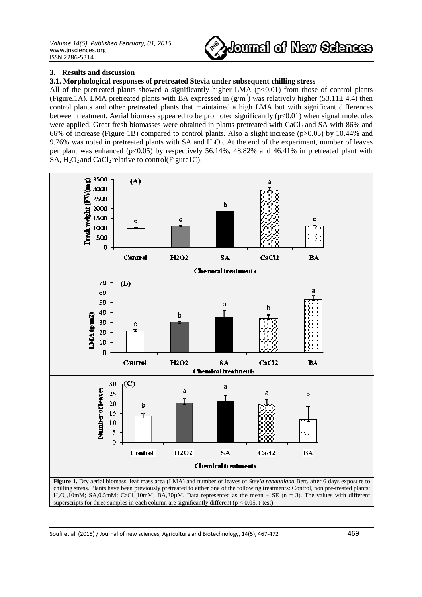

#### **3. Results and discussion**

## **3.1. Morphological responses of pretreated Stevia under subsequent chilling stress**

All of the pretreated plants showed a significantly higher LMA  $(p<0.01)$  from those of control plants (Figure.1A). LMA pretreated plants with BA expressed in  $(g/m^2)$  was relatively higher (53.11± 4.4) then control plants and other pretreated plants that maintained a high LMA but with significant differences between treatment. Aerial biomass appeared to be promoted significantly (p<0.01) when signal molecules were applied. Great fresh biomasses were obtained in plants pretreated with CaCl<sub>2</sub> and SA with 86% and 66% of increase (Figure 1B) compared to control plants. Also a slight increase (p>0.05) by 10.44% and 9.76% was noted in pretreated plants with SA and  $H_2O_2$ . At the end of the experiment, number of leaves per plant was enhanced ( $p<0.05$ ) by respectively 56.14%, 48.82% and 46.41% in pretreated plant with SA,  $H_2O_2$  and CaCl<sub>2</sub> relative to control(Figure1C).



 $H_2O_2$ ,10mM; SA,0.5mM; CaCl<sub>2</sub>,10mM; BA,30 $\mu$ M. Data represented as the mean  $\pm$  SE (n = 3). The values with different superscripts for three samples in each column are significantly different ( $p < 0.05$ , t-test).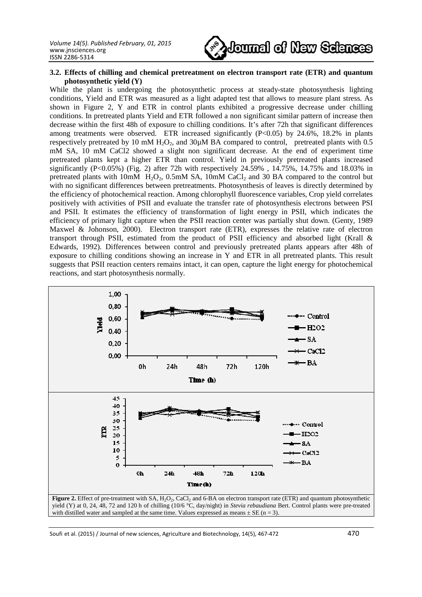

#### **3.2. Effects of chilling and chemical pretreatment on electron transport rate (ETR) and quantum photosynthetic yield (Y)**

While the plant is undergoing the photosynthetic process at steady-state photosynthesis lighting conditions, Yield and ETR was measured as a light adapted test that allows to measure plant stress. As shown in Figure 2, Y and ETR in control plants exhibited a progressive decrease under chilling conditions. In pretreated plants Yield and ETR followed a non significant similar pattern of increase then decrease within the first 48h of exposure to chilling conditions. It's after 72h that significant differences among treatments were observed. ETR increased significantly  $(P<0.05)$  by 24.6%, 18.2% in plants respectively pretreated by 10 mM  $H_2O_2$ , and  $30\mu$ M BA compared to control, pretreated plants with 0.5 mM SA, 10 mM CaCl2 showed a slight non significant decrease. At the end of experiment time pretreated plants kept a higher ETR than control. Yield in previously pretreated plants increased significantly (P<0.05%) (Fig. 2) after 72h with respectively 24.59% , 14.75%, 14.75% and 18.03% in pretreated plants with  $10 \text{m}$ M H<sub>2</sub>O<sub>2</sub>, 0.5mM SA,  $10 \text{m}$ M CaCl<sub>2</sub> and 30 BA compared to the control but with no significant differences between pretreatments. Photosynthesis of leaves is directly determined by the efficiency of photochemical reaction. Among chlorophyll fluorescence variables, Crop yield correlates positively with activities of PSII and evaluate the transfer rate of photosynthesis electrons between PSI and PSII. It estimates the efficiency of transformation of light energy in PSII, which indicates the efficiency of primary light capture when the PSII reaction center was partially shut down. (Genty, 1989 Maxwel & Johonson, 2000). Electron transport rate (ETR), expresses the relative rate of electron transport through PSII, estimated from the product of PSII efficiency and absorbed light (Krall & Edwards, 1992). Differences between control and previously pretreated plants appears after 48h of exposure to chilling conditions showing an increase in Y and ETR in all pretreated plants. This result suggests that PSII reaction centers remains intact, it can open, capture the light energy for photochemical reactions, and start photosynthesis normally.



Soufi et al. (2015) / Journal of new sciences, Agriculture and Biotechnology, 14(5), 467-472 470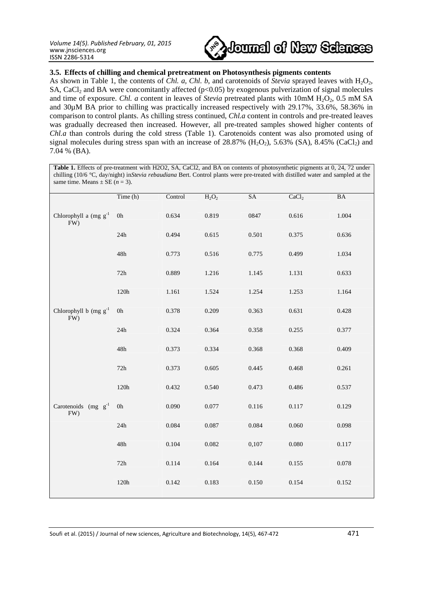

## **3.5. Effects of chilling and chemical pretreatment on Photosynthesis pigments contents**

As shown in Table 1, the contents of *Chl. a, Chl. b*, and carotenoids of *Stevia* sprayed leaves with H<sub>2</sub>O<sub>2</sub>, SA, CaCl<sub>2</sub> and BA were concomitantly affected ( $p<0.05$ ) by exogenous pulverization of signal molecules and time of exposure. *Chl. a* content in leaves of *Stevia* pretreated plants with 10mM H<sub>2</sub>O<sub>2</sub>, 0.5 mM SA and 30µM BA prior to chilling was practically increased respectively with 29.17%, 33.6%, 58.36% in comparison to control plants. As chilling stress continued, *Chl.a* content in controls and pre-treated leaves was gradually decreased then increased. However, all pre-treated samples showed higher contents of *Chl.a* than controls during the cold stress (Table 1). Carotenoids content was also promoted using of signal molecules during stress span with an increase of 28.87%  $(H_2O_2)$ , 5.63%  $(SA)$ , 8.45%  $(CaCl_2)$  and 7.04 % (BA).

| Table 1. Effects of pre-treatment with H2O2, SA, CaCl2, and BA on contents of photosynthetic pigments at 0, 24, 72 under<br>chilling (10/6 °C, day/night) in Stevia rebaudiana Bert. Control plants were pre-treated with distilled water and sampled at the<br>same time. Means $\pm$ SE ( <i>n</i> = 3). |               |         |          |       |                   |       |
|------------------------------------------------------------------------------------------------------------------------------------------------------------------------------------------------------------------------------------------------------------------------------------------------------------|---------------|---------|----------|-------|-------------------|-------|
|                                                                                                                                                                                                                                                                                                            | Time (h)      | Control | $H_2O_2$ | SA    | CaCl <sub>2</sub> | BA    |
| Chlorophyll a $(mg g^{-1})$<br>FW)                                                                                                                                                                                                                                                                         | 0h            | 0.634   | 0.819    | 0847  | 0.616             | 1.004 |
|                                                                                                                                                                                                                                                                                                            | 24h           | 0.494   | 0.615    | 0.501 | 0.375             | 0.636 |
|                                                                                                                                                                                                                                                                                                            | 48h           | 0.773   | 0.516    | 0.775 | 0.499             | 1.034 |
|                                                                                                                                                                                                                                                                                                            | 72h           | 0.889   | 1.216    | 1.145 | 1.131             | 0.633 |
|                                                                                                                                                                                                                                                                                                            | 120h          | 1.161   | 1.524    | 1.254 | 1.253             | 1.164 |
| Chlorophyll b $(mg g^{-1})$<br>FW)                                                                                                                                                                                                                                                                         | $0\mathrm{h}$ | 0.378   | 0.209    | 0.363 | 0.631             | 0.428 |
|                                                                                                                                                                                                                                                                                                            | 24h           | 0.324   | 0.364    | 0.358 | 0.255             | 0.377 |
|                                                                                                                                                                                                                                                                                                            | 48h           | 0.373   | 0.334    | 0.368 | 0.368             | 0.409 |
|                                                                                                                                                                                                                                                                                                            | 72h           | 0.373   | 0.605    | 0.445 | 0.468             | 0.261 |
|                                                                                                                                                                                                                                                                                                            | 120h          | 0.432   | 0.540    | 0.473 | 0.486             | 0.537 |
| Carotenoids $(mg g^{-1})$<br>FW)                                                                                                                                                                                                                                                                           | 0h            | 0.090   | 0.077    | 0.116 | 0.117             | 0.129 |
|                                                                                                                                                                                                                                                                                                            | 24h           | 0.084   | 0.087    | 0.084 | 0.060             | 0.098 |
|                                                                                                                                                                                                                                                                                                            | 48h           | 0.104   | 0.082    | 0,107 | 0.080             | 0.117 |
|                                                                                                                                                                                                                                                                                                            | 72h           | 0.114   | 0.164    | 0.144 | 0.155             | 0.078 |

120h 0.142 0.183 0.150 0.154 0.152